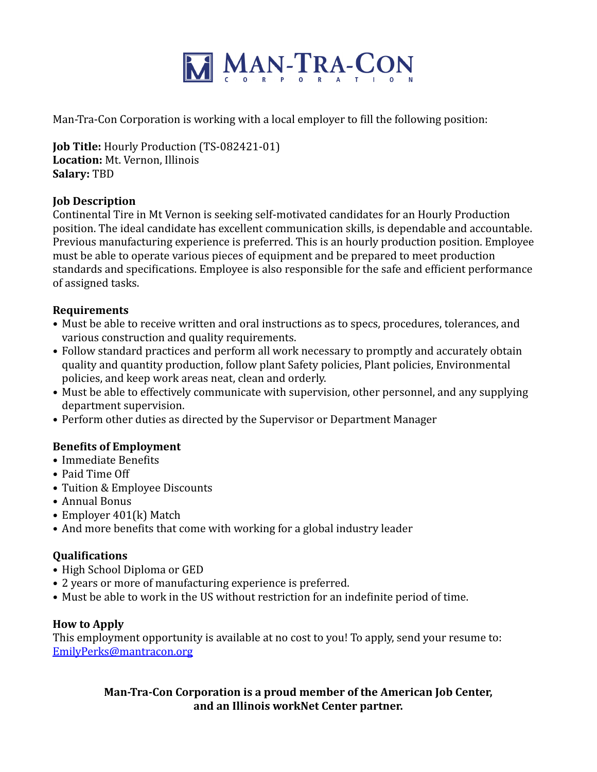

Man-Tra-Con Corporation is working with a local employer to fill the following position:

**Job Title:** Hourly Production (TS-082421-01) Location: Mt. Vernon. Illinois **Salary:** TBD

### **Job Description**

Continental Tire in Mt Vernon is seeking self-motivated candidates for an Hourly Production position. The ideal candidate has excellent communication skills, is dependable and accountable. Previous manufacturing experience is preferred. This is an hourly production position. Employee must be able to operate various pieces of equipment and be prepared to meet production standards and specifications. Employee is also responsible for the safe and efficient performance of assigned tasks.

## **Requirements**

- Must be able to receive written and oral instructions as to specs, procedures, tolerances, and various construction and quality requirements.
- Follow standard practices and perform all work necessary to promptly and accurately obtain quality and quantity production, follow plant Safety policies, Plant policies, Environmental policies, and keep work areas neat, clean and orderly.
- Must be able to effectively communicate with supervision, other personnel, and any supplying department supervision.
- Perform other duties as directed by the Supervisor or Department Manager

# **Benefits of Employment**

- Immediate Benefits
- Paid Time Off
- Tuition & Employee Discounts
- Annual Bonus
- Employer 401(k) Match
- And more benefits that come with working for a global industry leader

### **Qualifications**

- High School Diploma or GED
- 2 years or more of manufacturing experience is preferred.
- Must be able to work in the US without restriction for an indefinite period of time.

### **How to Apply**

This employment opportunity is available at no cost to you! To apply, send your resume to: [EmilyPerks@mantracon.org](mailto:EmilyPerks@mantracon.org)

# **Man-Tra-Con Corporation is a proud member of the American Job Center,** and an Illinois workNet Center partner.